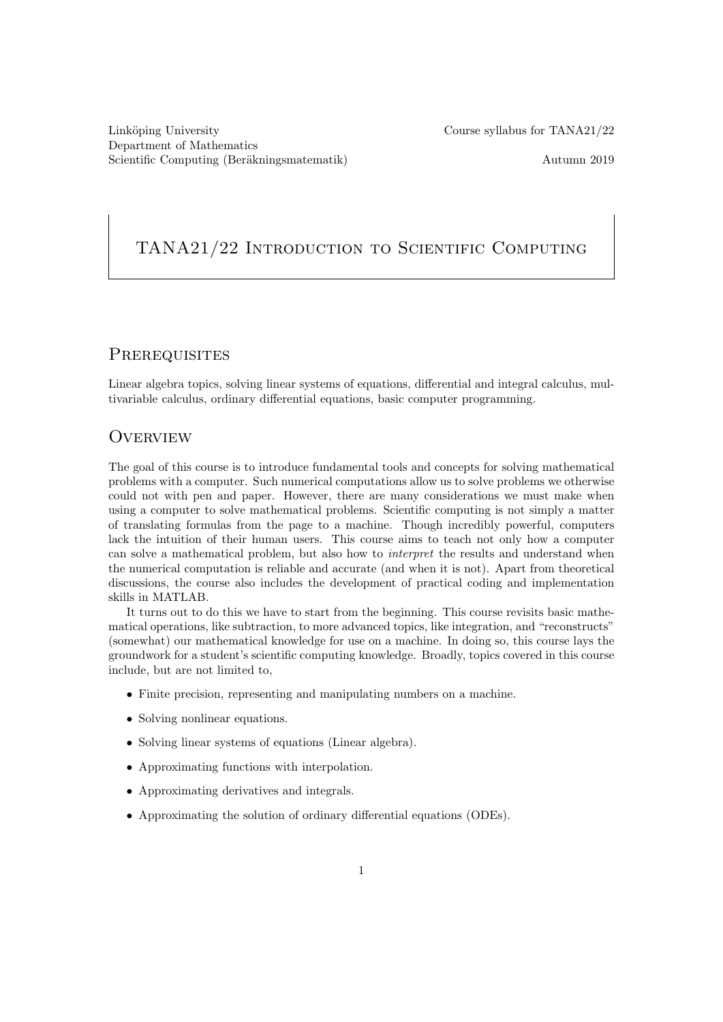# TANA21/22 INTRODUCTION TO SCIENTIFIC COMPUTING

### **PREREQUISITES**

Linear algebra topics, solving linear systems of equations, differential and integral calculus, multivariable calculus, ordinary differential equations, basic computer programming.

#### **OVERVIEW**

The goal of this course is to introduce fundamental tools and concepts for solving mathematical problems with a computer. Such numerical computations allow us to solve problems we otherwise could not with pen and paper. However, there are many considerations we must make when using a computer to solve mathematical problems. Scientific computing is not simply a matter of translating formulas from the page to a machine. Though incredibly powerful, computers lack the intuition of their human users. This course aims to teach not only how a computer can solve a mathematical problem, but also how to interpret the results and understand when the numerical computation is reliable and accurate (and when it is not). Apart from theoretical discussions, the course also includes the development of practical coding and implementation skills in MATLAB.

It turns out to do this we have to start from the beginning. This course revisits basic mathematical operations, like subtraction, to more advanced topics, like integration, and "reconstructs" (somewhat) our mathematical knowledge for use on a machine. In doing so, this course lays the groundwork for a student's scientific computing knowledge. Broadly, topics covered in this course include, but are not limited to,

- Finite precision, representing and manipulating numbers on a machine.
- Solving nonlinear equations.
- Solving linear systems of equations (Linear algebra).
- Approximating functions with interpolation.
- Approximating derivatives and integrals.
- Approximating the solution of ordinary differential equations (ODEs).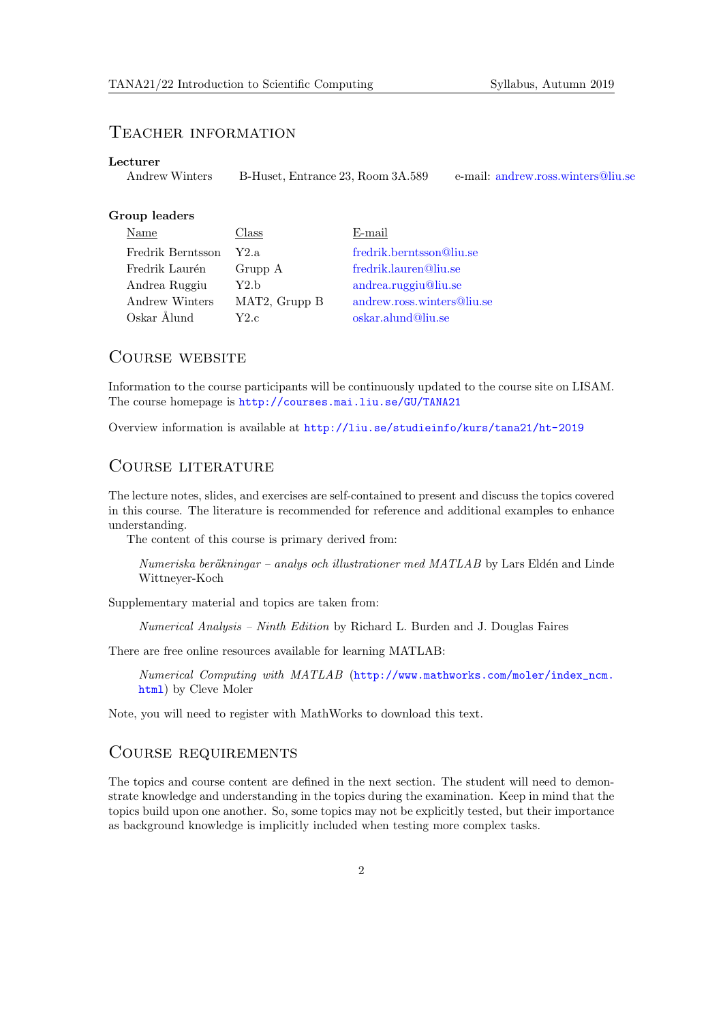### Teacher information

#### Lecturer

Andrew Winters B-Huset, Entrance 23, Room 3A.589 e-mail: [andrew.ross.winters@liu.se](mailto:andrew.ross.winters@liu.se)

#### Group leaders

| Name              | Class                      | $E$ -mail                  |
|-------------------|----------------------------|----------------------------|
| Fredrik Berntsson | Y2.a                       | fredrik.berntsson@liu.se   |
| Fredrik Laurén    | Grupp A                    | fredrik.lauren@liu.se      |
| Andrea Ruggiu     | Y2.b                       | andrea.ruggiu@liu.se       |
| Andrew Winters    | MAT <sub>2</sub> , Grupp B | andrew.ross.winters@liu.se |
| Oskar Ålund       | Y2.c                       | oskar.alund@liu.se         |

#### COURSE WEBSITE

Information to the course participants will be continuously updated to the course site on LISAM. The course homepage is <http://courses.mai.liu.se/GU/TANA21>

Overview information is available at <http://liu.se/studieinfo/kurs/tana21/ht-2019>

## Course literature

The lecture notes, slides, and exercises are self-contained to present and discuss the topics covered in this course. The literature is recommended for reference and additional examples to enhance understanding.

The content of this course is primary derived from:

 $Numeriska\ beräkningar - analysis\ och\ illustrationer\ med\ MATLAB$  by Lars Eldén and Linde Wittneyer-Koch

Supplementary material and topics are taken from:

Numerical Analysis – Ninth Edition by Richard L. Burden and J. Douglas Faires

There are free online resources available for learning MATLAB:

Numerical Computing with MATLAB ([http://www.mathworks.com/moler/index\\_ncm.](http://www.mathworks.com/moler/index_ncm.html) [html](http://www.mathworks.com/moler/index_ncm.html)) by Cleve Moler

Note, you will need to register with MathWorks to download this text.

#### Course requirements

The topics and course content are defined in the next section. The student will need to demonstrate knowledge and understanding in the topics during the examination. Keep in mind that the topics build upon one another. So, some topics may not be explicitly tested, but their importance as background knowledge is implicitly included when testing more complex tasks.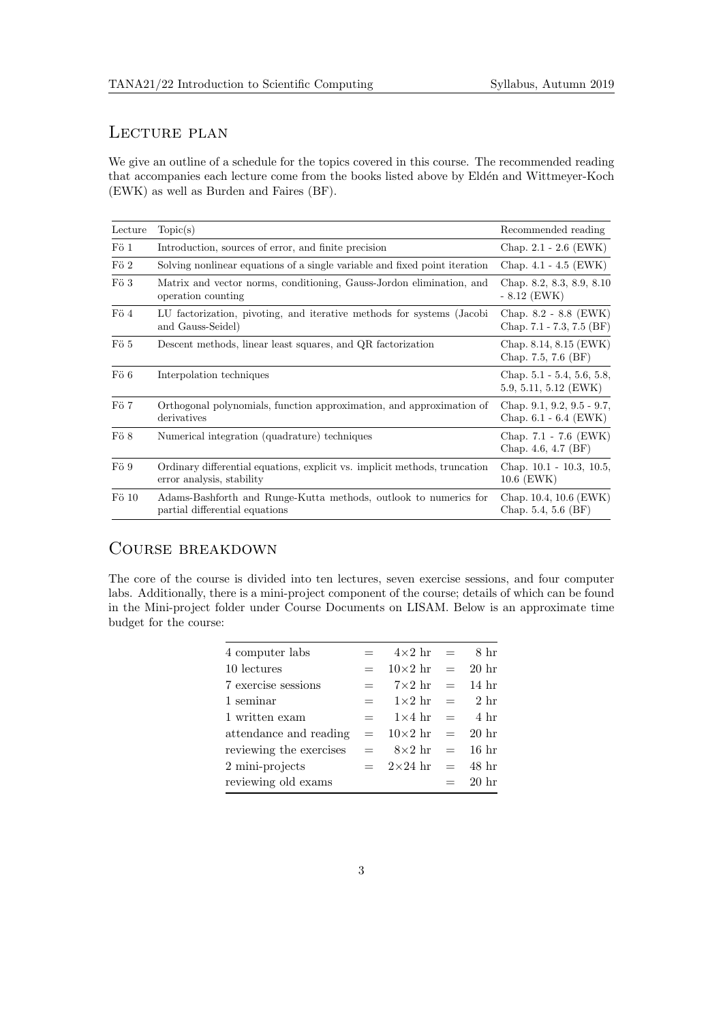### LECTURE PLAN

We give an outline of a schedule for the topics covered in this course. The recommended reading that accompanies each lecture come from the books listed above by Eldén and Wittmeyer-Koch (EWK) as well as Burden and Faires (BF).

| Lecture        | Topic(s)                                                                                                | Recommended reading                                          |
|----------------|---------------------------------------------------------------------------------------------------------|--------------------------------------------------------------|
| $F\ddot{o}$ 1  | Introduction, sources of error, and finite precision                                                    | Chap. $2.1 - 2.6$ (EWK)                                      |
| Fö 2           | Solving nonlinear equations of a single variable and fixed point iteration                              | Chap. $4.1 - 4.5$ (EWK)                                      |
| Fö 3           | Matrix and vector norms, conditioning, Gauss-Jordon elimination, and<br>operation counting              | Chap. 8.2, 8.3, 8.9, 8.10<br>$-8.12$ (EWK)                   |
| $F\ddot{o}$ 4  | LU factorization, pivoting, and iterative methods for systems (Jacobi<br>and Gauss-Seidel)              | Chap. $8.2 - 8.8$ (EWK)<br>Chap. 7.1 - 7.3, 7.5 (BF)         |
| Fö 5           | Descent methods, linear least squares, and QR factorization                                             | Chap. 8.14, 8.15 (EWK)<br>Chap. 7.5, 7.6 (BF)                |
| Fö 6           | Interpolation techniques                                                                                | Chap. $5.1 - 5.4$ , $5.6$ , $5.8$ ,<br>5.9, 5.11, 5.12 (EWK) |
| Fö 7           | Orthogonal polynomials, function approximation, and approximation of<br>derivatives                     | Chap. $9.1, 9.2, 9.5 - 9.7$ ,<br>Chap. $6.1 - 6.4$ (EWK)     |
| Fö 8           | Numerical integration (quadrature) techniques                                                           | Chap. $7.1 - 7.6$ (EWK)<br>Chap. 4.6, 4.7 (BF)               |
| Fö 9           | Ordinary differential equations, explicit vs. implicit methods, truncation<br>error analysis, stability | Chap. 10.1 - 10.3, 10.5,<br>$10.6$ (EWK)                     |
| $F\ddot{o}$ 10 | Adams-Bashforth and Runge-Kutta methods, outlook to numerics for<br>partial differential equations      | Chap. $10.4$ , $10.6$ (EWK)<br>Chap. 5.4, 5.6 $(BF)$         |

# Course breakdown

The core of the course is divided into ten lectures, seven exercise sessions, and four computer labs. Additionally, there is a mini-project component of the course; details of which can be found in the Mini-project folder under Course Documents on LISAM. Below is an approximate time budget for the course:

| 4 computer labs         |                   | $4 \times 2 \text{ hr} = 8 \text{ hr}$     |         |                  |
|-------------------------|-------------------|--------------------------------------------|---------|------------------|
| 10 lectures             | $=$ $-$           | $10\times2$ hr = 20 hr                     |         |                  |
| 7 exercise sessions     | $=$ $-$           | $7\times2$ hr = 14 hr                      |         |                  |
| 1 seminar               | $=$ $-$           | $1\times 2 \text{ hr} = 2 \text{ hr}$      |         |                  |
| 1 written exam          | $=$ $-$           | $1\times 4 \text{ hr} = 4 \text{ hr}$      |         |                  |
| attendance and reading  |                   | $= 10 \times 2 \text{ hr} = 20 \text{ hr}$ |         |                  |
| reviewing the exercises | $\equiv$ $\equiv$ | $8\times2$ hr = 16 hr                      |         |                  |
| 2 mini-projects         |                   | $= 2 \times 24 \text{ hr} = 48 \text{ hr}$ |         |                  |
| reviewing old exams     |                   |                                            | $=$ $-$ | 20 <sub>hr</sub> |